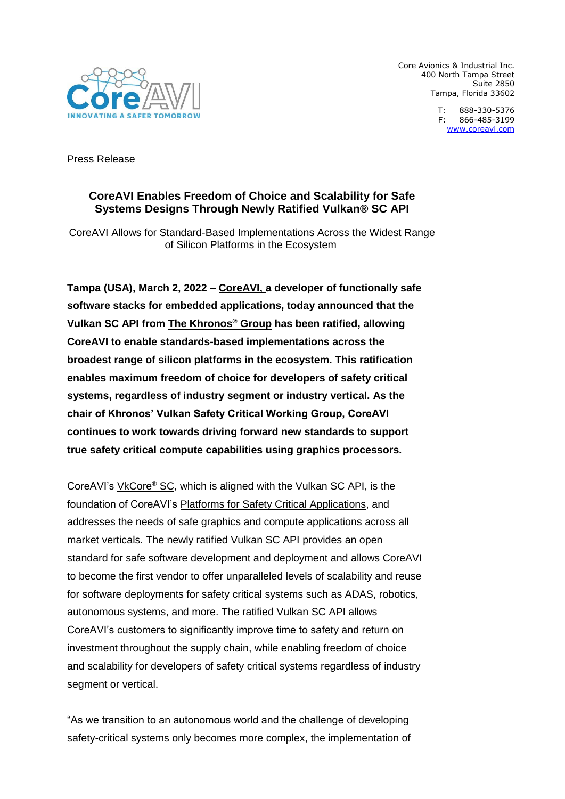

Core Avionics & Industrial Inc. 400 North Tampa Street Suite 2850 Tampa, Florida 33602

> T: 888-330-5376 F: 866-485-3199 [www.coreavi.com](http://www.coreavi.com/)

Press Release

## **CoreAVI Enables Freedom of Choice and Scalability for Safe Systems Designs Through Newly Ratified Vulkan® SC API**

CoreAVI Allows for Standard-Based Implementations Across the Widest Range of Silicon Platforms in the Ecosystem

**Tampa (USA), March 2, 2022 – [CoreAVI, a](https://coreavi.com/) developer of functionally safe software stacks for embedded applications, today announced that the Vulkan SC API from [The Khronos](https://www.khronos.org/)® Group has been ratified, allowing CoreAVI to enable standards-based implementations across the broadest range of silicon platforms in the ecosystem. This ratification enables maximum freedom of choice for developers of safety critical systems, regardless of industry segment or industry vertical. As the chair of Khronos' Vulkan Safety Critical Working Group, CoreAVI continues to work towards driving forward new standards to support true safety critical compute capabilities using graphics processors.**

CoreAVI's [VkCore](https://coreavi.com/product_category/safety-critical-graphics-and-compute/)® SC, which is aligned with the Vulkan SC API, is the foundation of CoreAVI's [Platforms for Safety Critical Applications,](https://coreavi.com/product-categories/) and addresses the needs of safe graphics and compute applications across all market verticals. The newly ratified Vulkan SC API provides an open standard for safe software development and deployment and allows CoreAVI to become the first vendor to offer unparalleled levels of scalability and reuse for software deployments for safety critical systems such as ADAS, robotics, autonomous systems, and more. The ratified Vulkan SC API allows CoreAVI's customers to significantly improve time to safety and return on investment throughout the supply chain, while enabling freedom of choice and scalability for developers of safety critical systems regardless of industry segment or vertical.

"As we transition to an autonomous world and the challenge of developing safety-critical systems only becomes more complex, the implementation of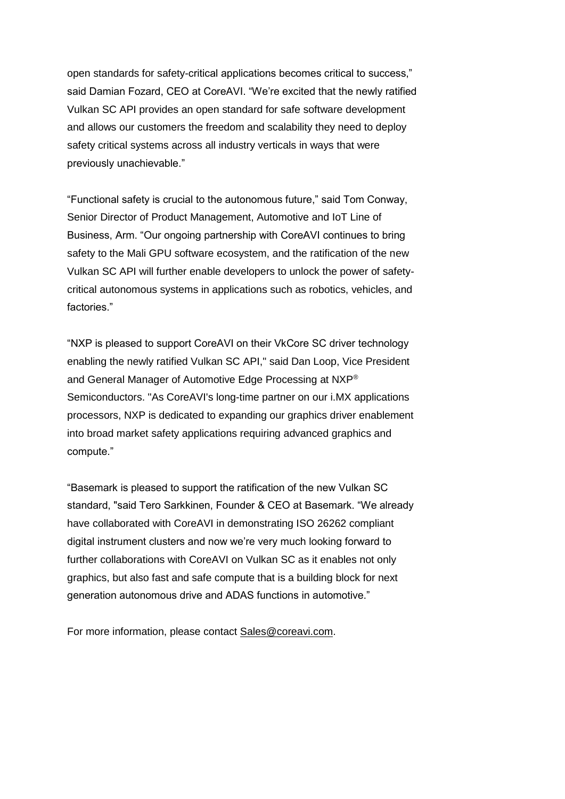open standards for safety-critical applications becomes critical to success," said Damian Fozard, CEO at CoreAVI. "We're excited that the newly ratified Vulkan SC API provides an open standard for safe software development and allows our customers the freedom and scalability they need to deploy safety critical systems across all industry verticals in ways that were previously unachievable."

"Functional safety is crucial to the autonomous future," said Tom Conway, Senior Director of Product Management, Automotive and IoT Line of Business, Arm. "Our ongoing partnership with CoreAVI continues to bring safety to the Mali GPU software ecosystem, and the ratification of the new Vulkan SC API will further enable developers to unlock the power of safetycritical autonomous systems in applications such as robotics, vehicles, and factories."

"NXP is pleased to support CoreAVI on their VkCore SC driver technology enabling the newly ratified Vulkan SC API," said Dan Loop, Vice President and General Manager of Automotive Edge Processing at NXP® Semiconductors. "As CoreAVI's long-time partner on our i.MX applications processors, NXP is dedicated to expanding our graphics driver enablement into broad market safety applications requiring advanced graphics and compute."

"Basemark is pleased to support the ratification of the new Vulkan SC standard, "said Tero Sarkkinen, Founder & CEO at Basemark. "We already have collaborated with CoreAVI in demonstrating ISO 26262 compliant digital instrument clusters and now we're very much looking forward to further collaborations with CoreAVI on Vulkan SC as it enables not only graphics, but also fast and safe compute that is a building block for next generation autonomous drive and ADAS functions in automotive."

For more information, please contact [Sales@coreavi.com.](mailto:Sales@coreavi.com)